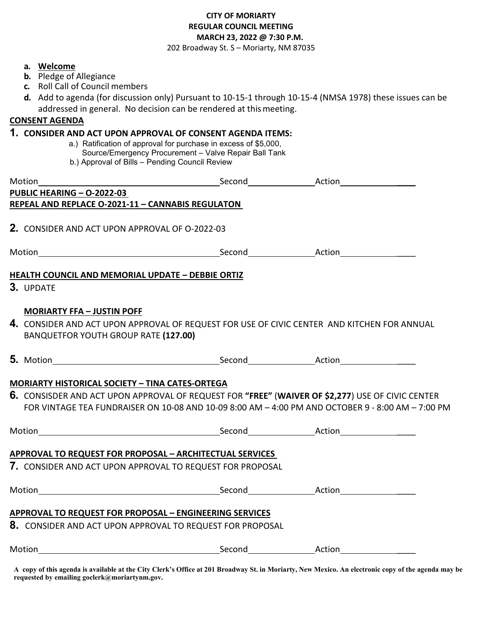## **CITY OF MORIARTY REGULAR COUNCIL MEETING MARCH 23, 2022 @ 7:30 P.M.**

202 Broadway St. S – Moriarty, NM 87035

## **a. Welcome**

- **b.** Pledge of Allegiance
- **c.** Roll Call of Council members
- **d.** Add to agenda (for discussion only) Pursuant to 10-15-1 through 10-15-4 (NMSA 1978) these issues can be addressed in general. No decision can be rendered at thismeeting.

## **CONSENT AGENDA**

## **1. CONSIDER AND ACT UPON APPROVAL OF CONSENT AGENDA ITEMS:**

- a.) Ratification of approval for purchase in excess of \$5,000, Source/Emergency Procurement – Valve Repair Ball Tank
- b.) Approval of Bills Pending Council Review

| Motion                                                                                                                                                                   |  |                                                                                                                                                                                                       |  |  |  |
|--------------------------------------------------------------------------------------------------------------------------------------------------------------------------|--|-------------------------------------------------------------------------------------------------------------------------------------------------------------------------------------------------------|--|--|--|
| PUBLIC HEARING - 0-2022-03                                                                                                                                               |  |                                                                                                                                                                                                       |  |  |  |
| REPEAL AND REPLACE O-2021-11 - CANNABIS REGULATON                                                                                                                        |  |                                                                                                                                                                                                       |  |  |  |
| <b>2.</b> CONSIDER AND ACT UPON APPROVAL OF 0-2022-03                                                                                                                    |  |                                                                                                                                                                                                       |  |  |  |
|                                                                                                                                                                          |  |                                                                                                                                                                                                       |  |  |  |
| HEALTH COUNCIL AND MEMORIAL UPDATE - DEBBIE ORTIZ<br>3. UPDATE                                                                                                           |  |                                                                                                                                                                                                       |  |  |  |
| <b>MORIARTY FFA - JUSTIN POFF</b><br>4. CONSIDER AND ACT UPON APPROVAL OF REQUEST FOR USE OF CIVIC CENTER AND KITCHEN FOR ANNUAL<br>BANQUETFOR YOUTH GROUP RATE (127.00) |  |                                                                                                                                                                                                       |  |  |  |
|                                                                                                                                                                          |  |                                                                                                                                                                                                       |  |  |  |
| <b>MORIARTY HISTORICAL SOCIETY - TINA CATES-ORTEGA</b>                                                                                                                   |  |                                                                                                                                                                                                       |  |  |  |
|                                                                                                                                                                          |  | 6. CONSISDER AND ACT UPON APPROVAL OF REQUEST FOR "FREE" (WAIVER OF \$2,277) USE OF CIVIC CENTER<br>FOR VINTAGE TEA FUNDRAISER ON 10-08 AND 10-09 8:00 AM - 4:00 PM AND OCTOBER 9 - 8:00 AM - 7:00 PM |  |  |  |
|                                                                                                                                                                          |  |                                                                                                                                                                                                       |  |  |  |
| APPROVAL TO REQUEST FOR PROPOSAL - ARCHITECTUAL SERVICES                                                                                                                 |  |                                                                                                                                                                                                       |  |  |  |
| 7. CONSIDER AND ACT UPON APPROVAL TO REQUEST FOR PROPOSAL                                                                                                                |  |                                                                                                                                                                                                       |  |  |  |
|                                                                                                                                                                          |  |                                                                                                                                                                                                       |  |  |  |
| APPROVAL TO REQUEST FOR PROPOSAL - ENGINEERING SERVICES                                                                                                                  |  |                                                                                                                                                                                                       |  |  |  |
| 8. CONSIDER AND ACT UPON APPROVAL TO REQUEST FOR PROPOSAL                                                                                                                |  |                                                                                                                                                                                                       |  |  |  |
|                                                                                                                                                                          |  |                                                                                                                                                                                                       |  |  |  |

**A copy of this agenda is available at the City Clerk's Office at 201 Broadway St. in Moriarty, New Mexico. An electronic copy of the agenda may be requested by emailing goclerk@moriartynm.gov.**